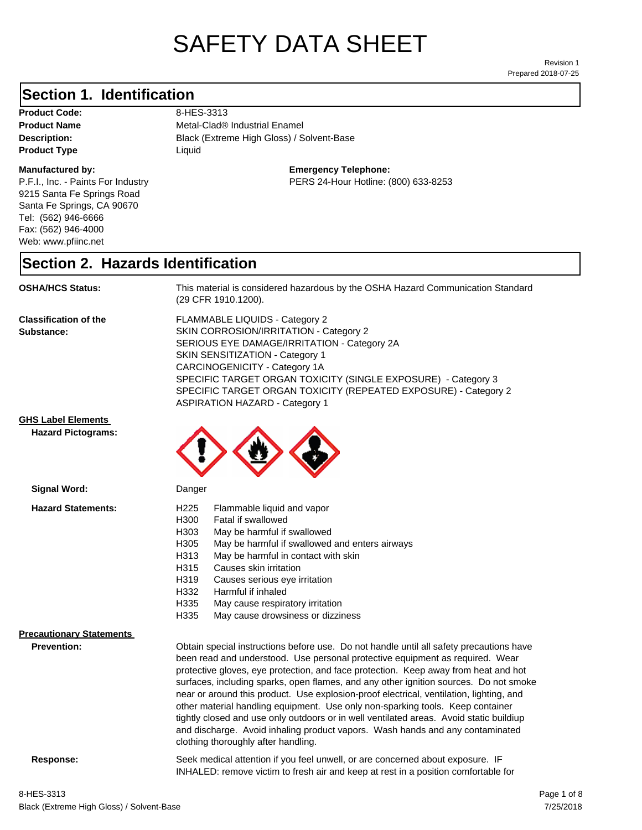# SAFETY DATA SHEET

Prepared 2018-07-25 Revision 1

#### **Section 1. Identification**

Product Code: 8-HES-3313 **Product Type Liquid Liquid** 

#### **Manufactured by:**

P.F.I., Inc. - Paints For Industry 9215 Santa Fe Springs Road Santa Fe Springs, CA 90670 Tel: (562) 946-6666 Fax: (562) 946-4000 Web: www.pfiinc.net

Description: **Black (Extreme High Gloss) / Solvent-Base Product Name** Metal-Clad<sup>®</sup> Industrial Enamel

**Emergency Telephone:**

PERS 24-Hour Hotline: (800) 633-8253

#### **Section 2. Hazards Identification**

**OSHA/HCS Status:** This material is considered hazardous by the OSHA Hazard Communication Standard (29 CFR 1910.1200).

**Classification of the Substance:**

FLAMMABLE LIQUIDS - Category 2 SKIN CORROSION/IRRITATION - Category 2 SERIOUS EYE DAMAGE/IRRITATION - Category 2A SKIN SENSITIZATION - Category 1 CARCINOGENICITY - Category 1A SPECIFIC TARGET ORGAN TOXICITY (SINGLE EXPOSURE) - Category 3 SPECIFIC TARGET ORGAN TOXICITY (REPEATED EXPOSURE) - Category 2 ASPIRATION HAZARD - Category 1

#### **GHS Label Elements**

**Signal Word:**

**Hazard Pictograms:**



| <b>Hazard Statements:</b>       | H <sub>225</sub><br>Flammable liquid and vapor                                                                                                                                                                                                                                                                                                                                                                                                                                                                                                                                                                                                                                                                    |
|---------------------------------|-------------------------------------------------------------------------------------------------------------------------------------------------------------------------------------------------------------------------------------------------------------------------------------------------------------------------------------------------------------------------------------------------------------------------------------------------------------------------------------------------------------------------------------------------------------------------------------------------------------------------------------------------------------------------------------------------------------------|
|                                 | H300<br>Fatal if swallowed                                                                                                                                                                                                                                                                                                                                                                                                                                                                                                                                                                                                                                                                                        |
|                                 | H303<br>May be harmful if swallowed                                                                                                                                                                                                                                                                                                                                                                                                                                                                                                                                                                                                                                                                               |
|                                 | H305<br>May be harmful if swallowed and enters airways                                                                                                                                                                                                                                                                                                                                                                                                                                                                                                                                                                                                                                                            |
|                                 | H313<br>May be harmful in contact with skin                                                                                                                                                                                                                                                                                                                                                                                                                                                                                                                                                                                                                                                                       |
|                                 | H315<br>Causes skin irritation                                                                                                                                                                                                                                                                                                                                                                                                                                                                                                                                                                                                                                                                                    |
|                                 | H319<br>Causes serious eye irritation                                                                                                                                                                                                                                                                                                                                                                                                                                                                                                                                                                                                                                                                             |
|                                 | H332<br>Harmful if inhaled                                                                                                                                                                                                                                                                                                                                                                                                                                                                                                                                                                                                                                                                                        |
|                                 | H335<br>May cause respiratory irritation                                                                                                                                                                                                                                                                                                                                                                                                                                                                                                                                                                                                                                                                          |
|                                 | H335<br>May cause drowsiness or dizziness                                                                                                                                                                                                                                                                                                                                                                                                                                                                                                                                                                                                                                                                         |
| <b>Precautionary Statements</b> |                                                                                                                                                                                                                                                                                                                                                                                                                                                                                                                                                                                                                                                                                                                   |
| <b>Prevention:</b>              | Obtain special instructions before use. Do not handle until all safety precautions have<br>been read and understood. Use personal protective equipment as required. Wear<br>protective gloves, eye protection, and face protection. Keep away from heat and hot<br>surfaces, including sparks, open flames, and any other ignition sources. Do not smoke<br>near or around this product. Use explosion-proof electrical, ventilation, lighting, and<br>other material handling equipment. Use only non-sparking tools. Keep container<br>tightly closed and use only outdoors or in well ventilated areas. Avoid static buildiup<br>and discharge. Avoid inhaling product vapors. Wash hands and any contaminated |

clothing thoroughly after handling.

**Response:** Seek medical attention if you feel unwell, or are concerned about exposure. IF INHALED: remove victim to fresh air and keep at rest in a position comfortable for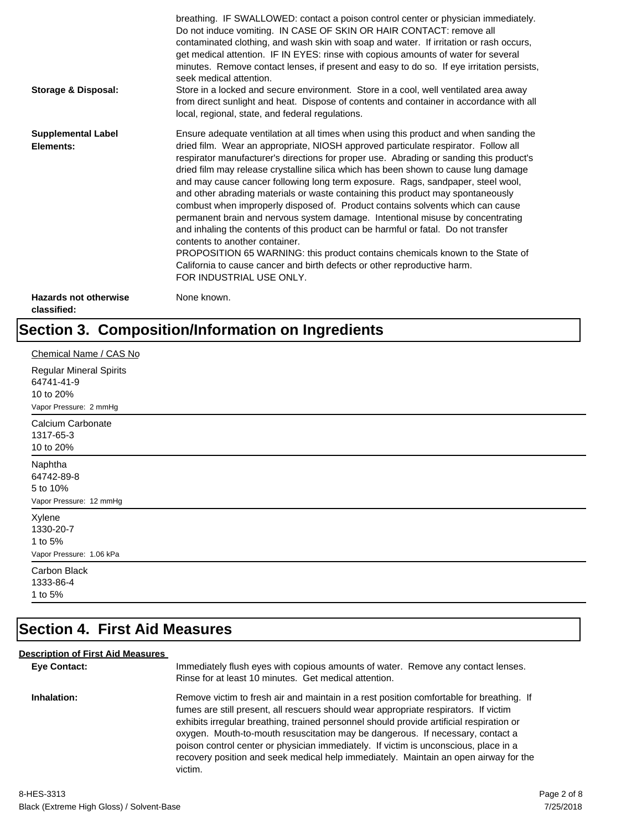| <b>Storage &amp; Disposal:</b>              | breathing. IF SWALLOWED: contact a poison control center or physician immediately.<br>Do not induce vomiting. IN CASE OF SKIN OR HAIR CONTACT: remove all<br>contaminated clothing, and wash skin with soap and water. If irritation or rash occurs,<br>get medical attention. IF IN EYES: rinse with copious amounts of water for several<br>minutes. Remove contact lenses, if present and easy to do so. If eye irritation persists,<br>seek medical attention.<br>Store in a locked and secure environment. Store in a cool, well ventilated area away<br>from direct sunlight and heat. Dispose of contents and container in accordance with all<br>local, regional, state, and federal regulations.                                                                                                                                                                                                                                                                                                                |
|---------------------------------------------|--------------------------------------------------------------------------------------------------------------------------------------------------------------------------------------------------------------------------------------------------------------------------------------------------------------------------------------------------------------------------------------------------------------------------------------------------------------------------------------------------------------------------------------------------------------------------------------------------------------------------------------------------------------------------------------------------------------------------------------------------------------------------------------------------------------------------------------------------------------------------------------------------------------------------------------------------------------------------------------------------------------------------|
| <b>Supplemental Label</b><br>Elements:      | Ensure adequate ventilation at all times when using this product and when sanding the<br>dried film. Wear an appropriate, NIOSH approved particulate respirator. Follow all<br>respirator manufacturer's directions for proper use. Abrading or sanding this product's<br>dried film may release crystalline silica which has been shown to cause lung damage<br>and may cause cancer following long term exposure. Rags, sandpaper, steel wool,<br>and other abrading materials or waste containing this product may spontaneously<br>combust when improperly disposed of. Product contains solvents which can cause<br>permanent brain and nervous system damage. Intentional misuse by concentrating<br>and inhaling the contents of this product can be harmful or fatal. Do not transfer<br>contents to another container.<br>PROPOSITION 65 WARNING: this product contains chemicals known to the State of<br>California to cause cancer and birth defects or other reproductive harm.<br>FOR INDUSTRIAL USE ONLY. |
| <b>Hazards not otherwise</b><br>classified: | None known.                                                                                                                                                                                                                                                                                                                                                                                                                                                                                                                                                                                                                                                                                                                                                                                                                                                                                                                                                                                                              |

## **Section 3. Composition/Information on Ingredients**

| Chemical Name / CAS No                                                              |
|-------------------------------------------------------------------------------------|
| <b>Regular Mineral Spirits</b><br>64741-41-9<br>10 to 20%<br>Vapor Pressure: 2 mmHg |
| Calcium Carbonate<br>1317-65-3<br>10 to 20%                                         |
| Naphtha<br>64742-89-8<br>5 to 10%<br>Vapor Pressure: 12 mmHg                        |
| Xylene<br>1330-20-7<br>1 to 5%<br>Vapor Pressure: 1.06 kPa                          |
| Carbon Black<br>1333-86-4<br>1 to 5%                                                |

## **Section 4. First Aid Measures**

#### **Description of First Aid Measures**

| <b>Eve Contact:</b> | Immediately flush eyes with copious amounts of water. Remove any contact lenses.<br>Rinse for at least 10 minutes. Get medical attention.                                                                                                                                                                                                                                                                                                                                                                                                                 |
|---------------------|-----------------------------------------------------------------------------------------------------------------------------------------------------------------------------------------------------------------------------------------------------------------------------------------------------------------------------------------------------------------------------------------------------------------------------------------------------------------------------------------------------------------------------------------------------------|
| Inhalation:         | Remove victim to fresh air and maintain in a rest position comfortable for breathing. If<br>fumes are still present, all rescuers should wear appropriate respirators. If victim<br>exhibits irregular breathing, trained personnel should provide artificial respiration or<br>oxygen. Mouth-to-mouth resuscitation may be dangerous. If necessary, contact a<br>poison control center or physician immediately. If victim is unconscious, place in a<br>recovery position and seek medical help immediately. Maintain an open airway for the<br>victim. |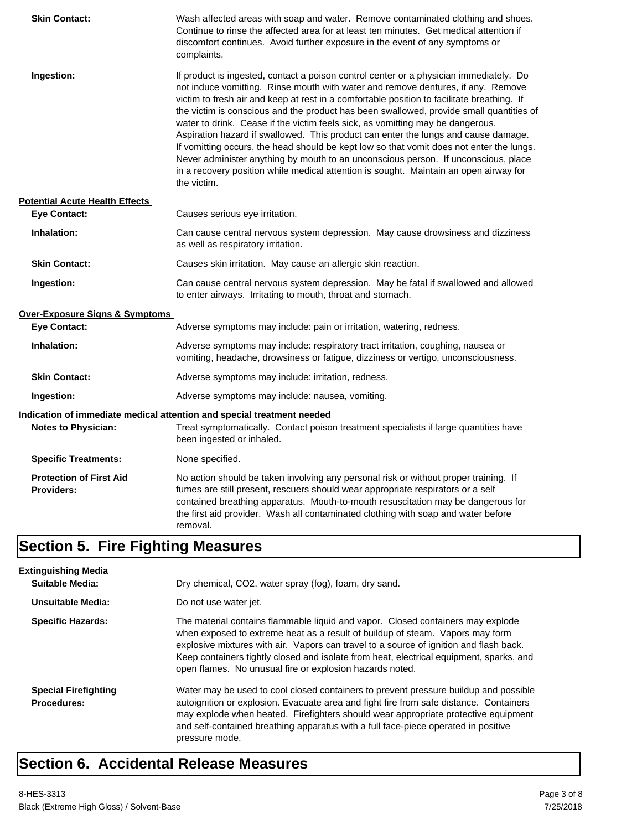| <b>Skin Contact:</b>                                | Wash affected areas with soap and water. Remove contaminated clothing and shoes.<br>Continue to rinse the affected area for at least ten minutes. Get medical attention if<br>discomfort continues. Avoid further exposure in the event of any symptoms or<br>complaints.                                                                                                                                                                                                                                                                                                                                                                                                                                                                                                                                                             |
|-----------------------------------------------------|---------------------------------------------------------------------------------------------------------------------------------------------------------------------------------------------------------------------------------------------------------------------------------------------------------------------------------------------------------------------------------------------------------------------------------------------------------------------------------------------------------------------------------------------------------------------------------------------------------------------------------------------------------------------------------------------------------------------------------------------------------------------------------------------------------------------------------------|
| Ingestion:                                          | If product is ingested, contact a poison control center or a physician immediately. Do<br>not induce vomitting. Rinse mouth with water and remove dentures, if any. Remove<br>victim to fresh air and keep at rest in a comfortable position to facilitate breathing. If<br>the victim is conscious and the product has been swallowed, provide small quantities of<br>water to drink. Cease if the victim feels sick, as vomitting may be dangerous.<br>Aspiration hazard if swallowed. This product can enter the lungs and cause damage.<br>If vomitting occurs, the head should be kept low so that vomit does not enter the lungs.<br>Never administer anything by mouth to an unconscious person. If unconscious, place<br>in a recovery position while medical attention is sought. Maintain an open airway for<br>the victim. |
| <b>Potential Acute Health Effects</b>               |                                                                                                                                                                                                                                                                                                                                                                                                                                                                                                                                                                                                                                                                                                                                                                                                                                       |
| <b>Eye Contact:</b>                                 | Causes serious eye irritation.                                                                                                                                                                                                                                                                                                                                                                                                                                                                                                                                                                                                                                                                                                                                                                                                        |
| Inhalation:                                         | Can cause central nervous system depression. May cause drowsiness and dizziness<br>as well as respiratory irritation.                                                                                                                                                                                                                                                                                                                                                                                                                                                                                                                                                                                                                                                                                                                 |
| <b>Skin Contact:</b>                                | Causes skin irritation. May cause an allergic skin reaction.                                                                                                                                                                                                                                                                                                                                                                                                                                                                                                                                                                                                                                                                                                                                                                          |
| Ingestion:                                          | Can cause central nervous system depression. May be fatal if swallowed and allowed<br>to enter airways. Irritating to mouth, throat and stomach.                                                                                                                                                                                                                                                                                                                                                                                                                                                                                                                                                                                                                                                                                      |
| <b>Over-Exposure Signs &amp; Symptoms</b>           |                                                                                                                                                                                                                                                                                                                                                                                                                                                                                                                                                                                                                                                                                                                                                                                                                                       |
| <b>Eye Contact:</b>                                 | Adverse symptoms may include: pain or irritation, watering, redness.                                                                                                                                                                                                                                                                                                                                                                                                                                                                                                                                                                                                                                                                                                                                                                  |
| Inhalation:                                         | Adverse symptoms may include: respiratory tract irritation, coughing, nausea or<br>vomiting, headache, drowsiness or fatigue, dizziness or vertigo, unconsciousness.                                                                                                                                                                                                                                                                                                                                                                                                                                                                                                                                                                                                                                                                  |
| <b>Skin Contact:</b>                                | Adverse symptoms may include: irritation, redness.                                                                                                                                                                                                                                                                                                                                                                                                                                                                                                                                                                                                                                                                                                                                                                                    |
| Ingestion:                                          | Adverse symptoms may include: nausea, vomiting.                                                                                                                                                                                                                                                                                                                                                                                                                                                                                                                                                                                                                                                                                                                                                                                       |
|                                                     | <u>Indication of immediate medical attention and special treatment needed</u>                                                                                                                                                                                                                                                                                                                                                                                                                                                                                                                                                                                                                                                                                                                                                         |
| <b>Notes to Physician:</b>                          | Treat symptomatically. Contact poison treatment specialists if large quantities have<br>been ingested or inhaled.                                                                                                                                                                                                                                                                                                                                                                                                                                                                                                                                                                                                                                                                                                                     |
| <b>Specific Treatments:</b>                         | None specified.                                                                                                                                                                                                                                                                                                                                                                                                                                                                                                                                                                                                                                                                                                                                                                                                                       |
| <b>Protection of First Aid</b><br><b>Providers:</b> | No action should be taken involving any personal risk or without proper training. If<br>fumes are still present, rescuers should wear appropriate respirators or a self<br>contained breathing apparatus. Mouth-to-mouth resuscitation may be dangerous for<br>the first aid provider. Wash all contaminated clothing with soap and water before<br>removal.                                                                                                                                                                                                                                                                                                                                                                                                                                                                          |

## **Section 5. Fire Fighting Measures**

| <b>Extinguishing Media</b>                        |                                                                                                                                                                                                                                                                                                                                                                                                                   |
|---------------------------------------------------|-------------------------------------------------------------------------------------------------------------------------------------------------------------------------------------------------------------------------------------------------------------------------------------------------------------------------------------------------------------------------------------------------------------------|
| <b>Suitable Media:</b>                            | Dry chemical, CO2, water spray (fog), foam, dry sand.                                                                                                                                                                                                                                                                                                                                                             |
| Unsuitable Media:                                 | Do not use water jet.                                                                                                                                                                                                                                                                                                                                                                                             |
| <b>Specific Hazards:</b>                          | The material contains flammable liquid and vapor. Closed containers may explode<br>when exposed to extreme heat as a result of buildup of steam. Vapors may form<br>explosive mixtures with air. Vapors can travel to a source of ignition and flash back.<br>Keep containers tightly closed and isolate from heat, electrical equipment, sparks, and<br>open flames. No unusual fire or explosion hazards noted. |
| <b>Special Firefighting</b><br><b>Procedures:</b> | Water may be used to cool closed containers to prevent pressure buildup and possible<br>autoignition or explosion. Evacuate area and fight fire from safe distance. Containers<br>may explode when heated. Firefighters should wear appropriate protective equipment<br>and self-contained breathing apparatus with a full face-piece operated in positive<br>pressure mode.                                      |

## **Section 6. Accidental Release Measures**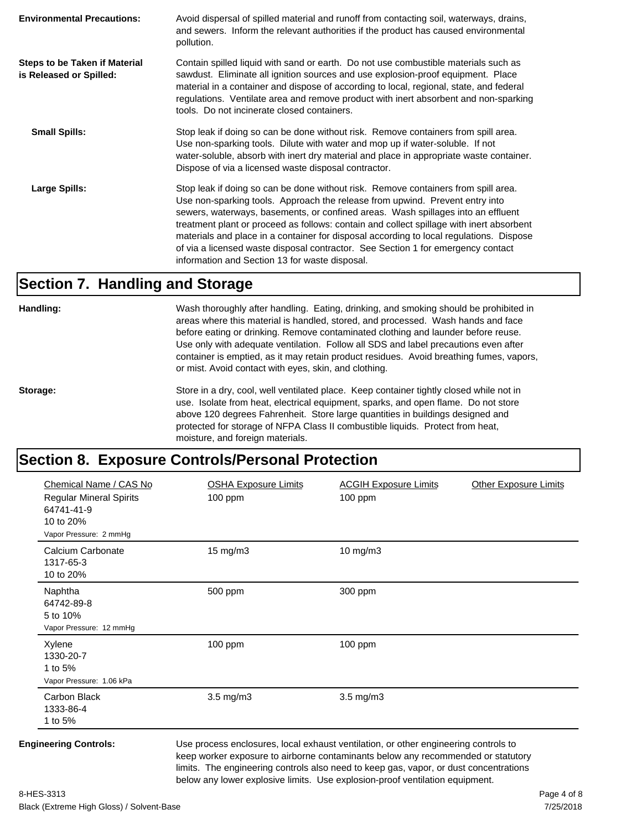| <b>Environmental Precautions:</b>                               | Avoid dispersal of spilled material and runoff from contacting soil, waterways, drains,<br>and sewers. Inform the relevant authorities if the product has caused environmental<br>pollution.                                                                                                                                                                                                                                                                                                                                                                                        |
|-----------------------------------------------------------------|-------------------------------------------------------------------------------------------------------------------------------------------------------------------------------------------------------------------------------------------------------------------------------------------------------------------------------------------------------------------------------------------------------------------------------------------------------------------------------------------------------------------------------------------------------------------------------------|
| <b>Steps to be Taken if Material</b><br>is Released or Spilled: | Contain spilled liquid with sand or earth. Do not use combustible materials such as<br>sawdust. Eliminate all ignition sources and use explosion-proof equipment. Place<br>material in a container and dispose of according to local, regional, state, and federal<br>regulations. Ventilate area and remove product with inert absorbent and non-sparking<br>tools. Do not incinerate closed containers.                                                                                                                                                                           |
| <b>Small Spills:</b>                                            | Stop leak if doing so can be done without risk. Remove containers from spill area.<br>Use non-sparking tools. Dilute with water and mop up if water-soluble. If not<br>water-soluble, absorb with inert dry material and place in appropriate waste container.<br>Dispose of via a licensed waste disposal contractor.                                                                                                                                                                                                                                                              |
| Large Spills:                                                   | Stop leak if doing so can be done without risk. Remove containers from spill area.<br>Use non-sparking tools. Approach the release from upwind. Prevent entry into<br>sewers, waterways, basements, or confined areas. Wash spillages into an effluent<br>treatment plant or proceed as follows: contain and collect spillage with inert absorbent<br>materials and place in a container for disposal according to local regulations. Dispose<br>of via a licensed waste disposal contractor. See Section 1 for emergency contact<br>information and Section 13 for waste disposal. |

#### **Section 7. Handling and Storage**

**Handling:** Wash thoroughly after handling. Eating, drinking, and smoking should be prohibited in areas where this material is handled, stored, and processed. Wash hands and face before eating or drinking. Remove contaminated clothing and launder before reuse. Use only with adequate ventilation. Follow all SDS and label precautions even after container is emptied, as it may retain product residues. Avoid breathing fumes, vapors, or mist. Avoid contact with eyes, skin, and clothing.

Storage: Store in a dry, cool, well ventilated place. Keep container tightly closed while not in use. Isolate from heat, electrical equipment, sparks, and open flame. Do not store above 120 degrees Fahrenheit. Store large quantities in buildings designed and protected for storage of NFPA Class II combustible liquids. Protect from heat, moisture, and foreign materials.

#### **Section 8. Exposure Controls/Personal Protection**

| Chemical Name / CAS No<br><b>Regular Mineral Spirits</b><br>64741-41-9<br>10 to 20%<br>Vapor Pressure: 2 mmHg | <b>OSHA Exposure Limits</b><br>$100$ ppm | <b>ACGIH Exposure Limits</b><br>100 ppm | <b>Other Exposure Limits</b> |
|---------------------------------------------------------------------------------------------------------------|------------------------------------------|-----------------------------------------|------------------------------|
| Calcium Carbonate<br>1317-65-3<br>10 to 20%                                                                   | 15 mg/m3                                 | 10 mg/m3                                |                              |
| Naphtha<br>64742-89-8<br>5 to 10%<br>Vapor Pressure: 12 mmHg                                                  | 500 ppm                                  | 300 ppm                                 |                              |
| Xylene<br>1330-20-7<br>1 to 5%<br>Vapor Pressure: 1.06 kPa                                                    | 100 ppm                                  | 100 ppm                                 |                              |
| Carbon Black<br>1333-86-4<br>1 to 5%                                                                          | $3.5$ mg/m $3$                           | $3.5$ mg/m $3$                          |                              |

**Engineering Controls:** Use process enclosures, local exhaust ventilation, or other engineering controls to keep worker exposure to airborne contaminants below any recommended or statutory limits. The engineering controls also need to keep gas, vapor, or dust concentrations below any lower explosive limits. Use explosion-proof ventilation equipment.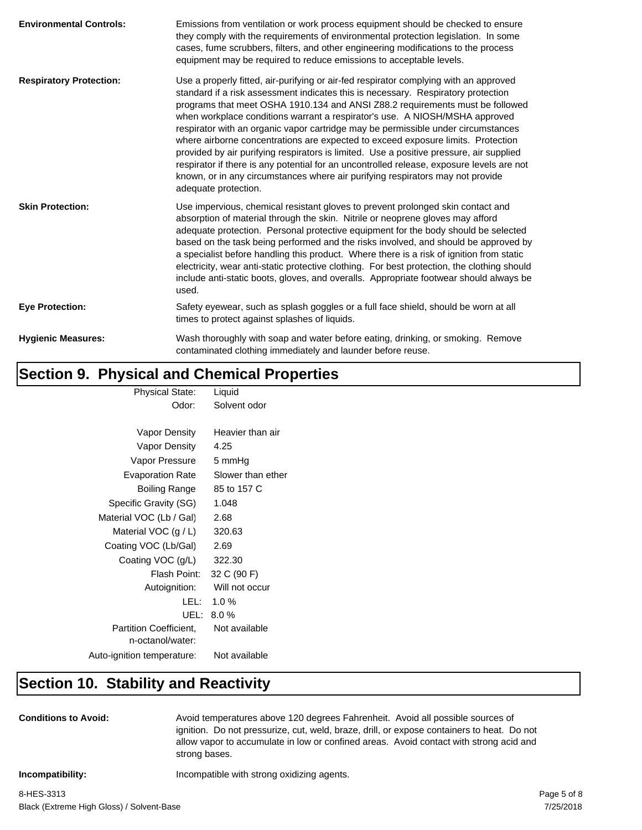| <b>Environmental Controls:</b> | Emissions from ventilation or work process equipment should be checked to ensure<br>they comply with the requirements of environmental protection legislation. In some<br>cases, fume scrubbers, filters, and other engineering modifications to the process<br>equipment may be required to reduce emissions to acceptable levels.                                                                                                                                                                                                                                                                                                                                                                                                                                                                                   |
|--------------------------------|-----------------------------------------------------------------------------------------------------------------------------------------------------------------------------------------------------------------------------------------------------------------------------------------------------------------------------------------------------------------------------------------------------------------------------------------------------------------------------------------------------------------------------------------------------------------------------------------------------------------------------------------------------------------------------------------------------------------------------------------------------------------------------------------------------------------------|
| <b>Respiratory Protection:</b> | Use a properly fitted, air-purifying or air-fed respirator complying with an approved<br>standard if a risk assessment indicates this is necessary. Respiratory protection<br>programs that meet OSHA 1910.134 and ANSI Z88.2 requirements must be followed<br>when workplace conditions warrant a respirator's use. A NIOSH/MSHA approved<br>respirator with an organic vapor cartridge may be permissible under circumstances<br>where airborne concentrations are expected to exceed exposure limits. Protection<br>provided by air purifying respirators is limited. Use a positive pressure, air supplied<br>respirator if there is any potential for an uncontrolled release, exposure levels are not<br>known, or in any circumstances where air purifying respirators may not provide<br>adequate protection. |
| <b>Skin Protection:</b>        | Use impervious, chemical resistant gloves to prevent prolonged skin contact and<br>absorption of material through the skin. Nitrile or neoprene gloves may afford<br>adequate protection. Personal protective equipment for the body should be selected<br>based on the task being performed and the risks involved, and should be approved by<br>a specialist before handling this product. Where there is a risk of ignition from static<br>electricity, wear anti-static protective clothing. For best protection, the clothing should<br>include anti-static boots, gloves, and overalls. Appropriate footwear should always be<br>used.                                                                                                                                                                          |
| <b>Eye Protection:</b>         | Safety eyewear, such as splash goggles or a full face shield, should be worn at all<br>times to protect against splashes of liquids.                                                                                                                                                                                                                                                                                                                                                                                                                                                                                                                                                                                                                                                                                  |
| <b>Hygienic Measures:</b>      | Wash thoroughly with soap and water before eating, drinking, or smoking. Remove<br>contaminated clothing immediately and launder before reuse.                                                                                                                                                                                                                                                                                                                                                                                                                                                                                                                                                                                                                                                                        |

### **Section 9. Physical and Chemical Properties**

| <b>Physical State:</b>        | Liquid            |
|-------------------------------|-------------------|
| Odor:                         | Solvent odor      |
|                               |                   |
| Vapor Density                 | Heavier than air  |
| Vapor Density                 | 4.25              |
| Vapor Pressure                | 5 mmHg            |
| Evaporation Rate              | Slower than ether |
| Boiling Range                 | 85 to 157 C       |
| Specific Gravity (SG)         | 1.048             |
| Material VOC (Lb / Gal)       | 2.68              |
| Material VOC $(g/L)$          | 320.63            |
| Coating VOC (Lb/Gal)          | 2.69              |
| Coating VOC (g/L)             | 322.30            |
| Flash Point:                  | 32 C (90 F)       |
| Autoignition:                 | Will not occur    |
| LEL: L                        | 1.0%              |
|                               | UEL: 8.0 %        |
| <b>Partition Coefficient.</b> | Not available     |
| n-octanol/water:              |                   |
| Auto-ignition temperature:    | Not available     |
|                               |                   |

### **Section 10. Stability and Reactivity**

**Conditions to Avoid:** Avoid temperatures above 120 degrees Fahrenheit. Avoid all possible sources of ignition. Do not pressurize, cut, weld, braze, drill, or expose containers to heat. Do not allow vapor to accumulate in low or confined areas. Avoid contact with strong acid and strong bases.

**Incompatibility:** Incompatible with strong oxidizing agents.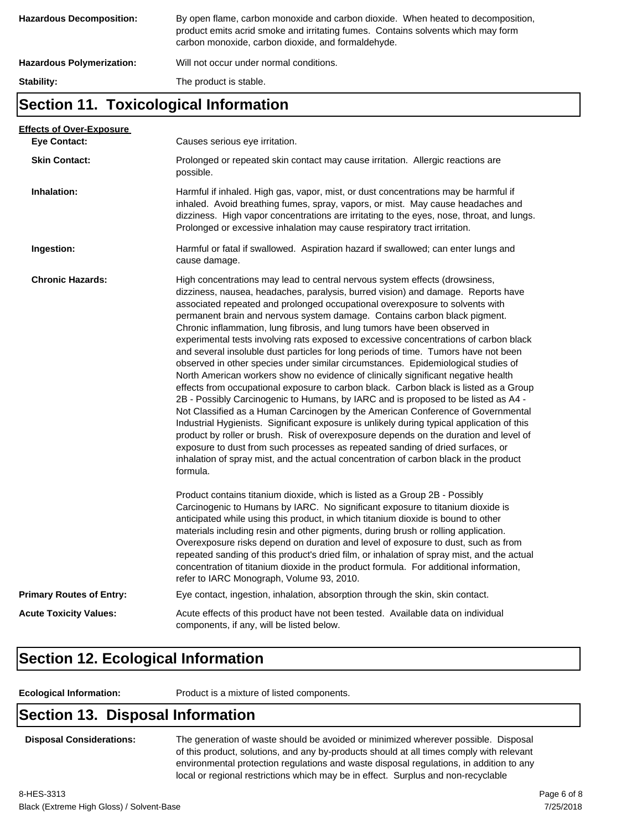| <b>Hazardous Decomposition:</b>  | By open flame, carbon monoxide and carbon dioxide. When heated to decomposition,<br>product emits acrid smoke and irritating fumes. Contains solvents which may form<br>carbon monoxide, carbon dioxide, and formaldehyde. |
|----------------------------------|----------------------------------------------------------------------------------------------------------------------------------------------------------------------------------------------------------------------------|
| <b>Hazardous Polymerization:</b> | Will not occur under normal conditions.                                                                                                                                                                                    |
| Stability:                       | The product is stable.                                                                                                                                                                                                     |

#### **Section 11. Toxicological Information**

| <b>Effects of Over-Exposure</b> |                                                                                                                                                                                                                                                                                                                                                                                                                                                                                                                                                                                                                                                                                                                                                                                                                                                                                                                                                                                                                                                                                                                                                                                                                                                                                                                                                                                                                      |
|---------------------------------|----------------------------------------------------------------------------------------------------------------------------------------------------------------------------------------------------------------------------------------------------------------------------------------------------------------------------------------------------------------------------------------------------------------------------------------------------------------------------------------------------------------------------------------------------------------------------------------------------------------------------------------------------------------------------------------------------------------------------------------------------------------------------------------------------------------------------------------------------------------------------------------------------------------------------------------------------------------------------------------------------------------------------------------------------------------------------------------------------------------------------------------------------------------------------------------------------------------------------------------------------------------------------------------------------------------------------------------------------------------------------------------------------------------------|
| <b>Eye Contact:</b>             | Causes serious eye irritation.                                                                                                                                                                                                                                                                                                                                                                                                                                                                                                                                                                                                                                                                                                                                                                                                                                                                                                                                                                                                                                                                                                                                                                                                                                                                                                                                                                                       |
| <b>Skin Contact:</b>            | Prolonged or repeated skin contact may cause irritation. Allergic reactions are<br>possible.                                                                                                                                                                                                                                                                                                                                                                                                                                                                                                                                                                                                                                                                                                                                                                                                                                                                                                                                                                                                                                                                                                                                                                                                                                                                                                                         |
| Inhalation:                     | Harmful if inhaled. High gas, vapor, mist, or dust concentrations may be harmful if<br>inhaled. Avoid breathing fumes, spray, vapors, or mist. May cause headaches and<br>dizziness. High vapor concentrations are irritating to the eyes, nose, throat, and lungs.<br>Prolonged or excessive inhalation may cause respiratory tract irritation.                                                                                                                                                                                                                                                                                                                                                                                                                                                                                                                                                                                                                                                                                                                                                                                                                                                                                                                                                                                                                                                                     |
| Ingestion:                      | Harmful or fatal if swallowed. Aspiration hazard if swallowed; can enter lungs and<br>cause damage.                                                                                                                                                                                                                                                                                                                                                                                                                                                                                                                                                                                                                                                                                                                                                                                                                                                                                                                                                                                                                                                                                                                                                                                                                                                                                                                  |
| <b>Chronic Hazards:</b>         | High concentrations may lead to central nervous system effects (drowsiness,<br>dizziness, nausea, headaches, paralysis, burred vision) and damage. Reports have<br>associated repeated and prolonged occupational overexposure to solvents with<br>permanent brain and nervous system damage. Contains carbon black pigment.<br>Chronic inflammation, lung fibrosis, and lung tumors have been observed in<br>experimental tests involving rats exposed to excessive concentrations of carbon black<br>and several insoluble dust particles for long periods of time. Tumors have not been<br>observed in other species under similar circumstances. Epidemiological studies of<br>North American workers show no evidence of clinically significant negative health<br>effects from occupational exposure to carbon black. Carbon black is listed as a Group<br>2B - Possibly Carcinogenic to Humans, by IARC and is proposed to be listed as A4 -<br>Not Classified as a Human Carcinogen by the American Conference of Governmental<br>Industrial Hygienists. Significant exposure is unlikely during typical application of this<br>product by roller or brush. Risk of overexposure depends on the duration and level of<br>exposure to dust from such processes as repeated sanding of dried surfaces, or<br>inhalation of spray mist, and the actual concentration of carbon black in the product<br>formula. |
|                                 | Product contains titanium dioxide, which is listed as a Group 2B - Possibly<br>Carcinogenic to Humans by IARC. No significant exposure to titanium dioxide is<br>anticipated while using this product, in which titanium dioxide is bound to other<br>materials including resin and other pigments, during brush or rolling application.<br>Overexposure risks depend on duration and level of exposure to dust, such as from<br>repeated sanding of this product's dried film, or inhalation of spray mist, and the actual<br>concentration of titanium dioxide in the product formula. For additional information,<br>refer to IARC Monograph, Volume 93, 2010.                                                                                                                                                                                                                                                                                                                                                                                                                                                                                                                                                                                                                                                                                                                                                    |
| <b>Primary Routes of Entry:</b> | Eye contact, ingestion, inhalation, absorption through the skin, skin contact.                                                                                                                                                                                                                                                                                                                                                                                                                                                                                                                                                                                                                                                                                                                                                                                                                                                                                                                                                                                                                                                                                                                                                                                                                                                                                                                                       |
| <b>Acute Toxicity Values:</b>   | Acute effects of this product have not been tested. Available data on individual<br>components, if any, will be listed below.                                                                                                                                                                                                                                                                                                                                                                                                                                                                                                                                                                                                                                                                                                                                                                                                                                                                                                                                                                                                                                                                                                                                                                                                                                                                                        |
|                                 |                                                                                                                                                                                                                                                                                                                                                                                                                                                                                                                                                                                                                                                                                                                                                                                                                                                                                                                                                                                                                                                                                                                                                                                                                                                                                                                                                                                                                      |

### **Section 12. Ecological Information**

**Ecological Information:** Product is a mixture of listed components.

#### **Section 13. Disposal Information**

**Disposal Considerations:** The generation of waste should be avoided or minimized wherever possible. Disposal of this product, solutions, and any by-products should at all times comply with relevant environmental protection regulations and waste disposal regulations, in addition to any local or regional restrictions which may be in effect. Surplus and non-recyclable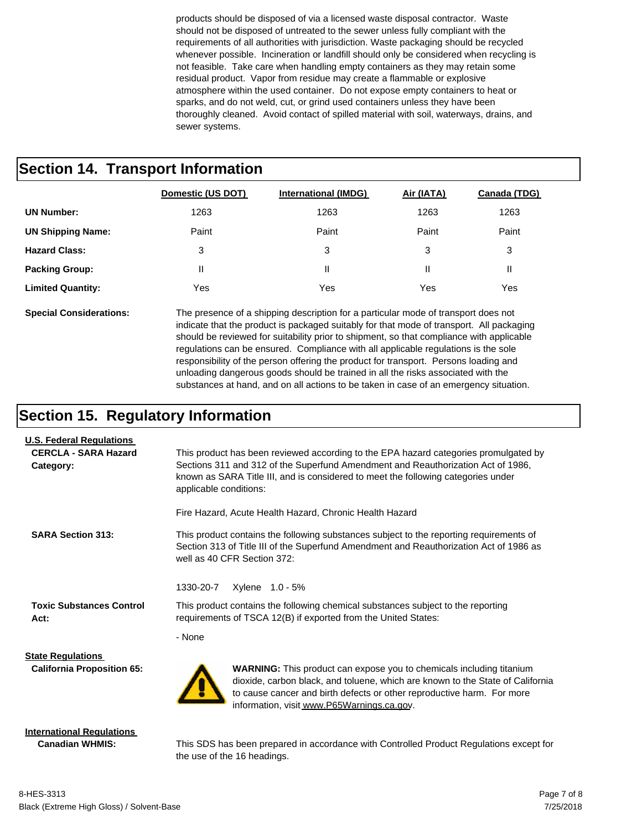products should be disposed of via a licensed waste disposal contractor. Waste should not be disposed of untreated to the sewer unless fully compliant with the requirements of all authorities with jurisdiction. Waste packaging should be recycled whenever possible. Incineration or landfill should only be considered when recycling is not feasible. Take care when handling empty containers as they may retain some residual product. Vapor from residue may create a flammable or explosive atmosphere within the used container. Do not expose empty containers to heat or sparks, and do not weld, cut, or grind used containers unless they have been thoroughly cleaned. Avoid contact of spilled material with soil, waterways, drains, and sewer systems.

#### **Section 14. Transport Information**

|                          | Domestic (US DOT) | <b>International (IMDG)</b> | Air (IATA) | Canada (TDG) |
|--------------------------|-------------------|-----------------------------|------------|--------------|
| <b>UN Number:</b>        | 1263              | 1263                        | 1263       | 1263         |
| <b>UN Shipping Name:</b> | Paint             | Paint                       | Paint      | Paint        |
| <b>Hazard Class:</b>     | 3                 | 3                           | 3          | 3            |
| <b>Packing Group:</b>    | Ш                 | Ш                           | Ш          | Ш            |
| <b>Limited Quantity:</b> | Yes               | Yes                         | Yes        | Yes          |

**Special Considerations:** The presence of a shipping description for a particular mode of transport does not indicate that the product is packaged suitably for that mode of transport. All packaging should be reviewed for suitability prior to shipment, so that compliance with applicable regulations can be ensured. Compliance with all applicable regulations is the sole responsibility of the person offering the product for transport. Persons loading and unloading dangerous goods should be trained in all the risks associated with the substances at hand, and on all actions to be taken in case of an emergency situation.

#### **Section 15. Regulatory Information**

| <b>U.S. Federal Regulations</b>                            |                                                                                                                                                                                                                                                                                         |  |  |  |
|------------------------------------------------------------|-----------------------------------------------------------------------------------------------------------------------------------------------------------------------------------------------------------------------------------------------------------------------------------------|--|--|--|
| <b>CERCLA - SARA Hazard</b><br>Category:                   | This product has been reviewed according to the EPA hazard categories promulgated by<br>Sections 311 and 312 of the Superfund Amendment and Reauthorization Act of 1986,<br>known as SARA Title III, and is considered to meet the following categories under<br>applicable conditions: |  |  |  |
|                                                            | Fire Hazard, Acute Health Hazard, Chronic Health Hazard                                                                                                                                                                                                                                 |  |  |  |
| <b>SARA Section 313:</b>                                   | This product contains the following substances subject to the reporting requirements of<br>Section 313 of Title III of the Superfund Amendment and Reauthorization Act of 1986 as<br>well as 40 CFR Section 372:                                                                        |  |  |  |
|                                                            | 1330-20-7<br>Xylene 1.0 - 5%                                                                                                                                                                                                                                                            |  |  |  |
| <b>Toxic Substances Control</b><br>Act:                    | This product contains the following chemical substances subject to the reporting<br>requirements of TSCA 12(B) if exported from the United States:                                                                                                                                      |  |  |  |
|                                                            | - None                                                                                                                                                                                                                                                                                  |  |  |  |
| <b>State Regulations</b>                                   |                                                                                                                                                                                                                                                                                         |  |  |  |
| <b>California Proposition 65:</b>                          | <b>WARNING:</b> This product can expose you to chemicals including titanium<br>dioxide, carbon black, and toluene, which are known to the State of California<br>to cause cancer and birth defects or other reproductive harm. For more<br>information, visit www.P65Warnings.ca.gov.   |  |  |  |
| <b>International Regulations</b><br><b>Canadian WHMIS:</b> | This SDS has been prepared in accordance with Controlled Product Regulations except for                                                                                                                                                                                                 |  |  |  |

the use of the 16 headings.

Black (Extreme High Gloss) / Solvent-Base 8-HES-3313